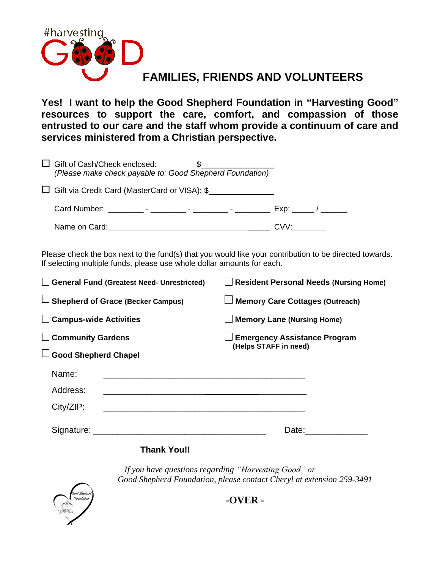

**Yes! I want to help the Good Shepherd Foundation in "Harvesting Good" resources to support the care, comfort, and compassion of those entrusted to our care and the staff whom provide a continuum of care and services ministered from a Christian perspective.** 

| $\Box$ Gift of Cash/Check enclosed:<br>(Please make check payable to: Good Shepherd Foundation) |      |
|-------------------------------------------------------------------------------------------------|------|
| □ Gift via Credit Card (MasterCard or VISA): \$                                                 |      |
|                                                                                                 |      |
| Name on Card:                                                                                   | CVV: |

Please check the box next to the fund(s) that you would like your contribution to be directed towards. If selecting multiple funds, please use whole dollar amounts for each.

| General Fund (Greatest Need- Unrestricted) | <b>Resident Personal Needs (Nursing Home)</b> |  |
|--------------------------------------------|-----------------------------------------------|--|
| $\Box$ Shepherd of Grace (Becker Campus)   | $\Box$ Memory Care Cottages (Outreach)        |  |
| $\Box$ Campus-wide Activities              | <b>Memory Lane (Nursing Home)</b>             |  |
| $\Box$ Community Gardens                   | <b>Emergency Assistance Program</b>           |  |
| $\Box$ Good Shepherd Chapel                | (Helps STAFF in need)                         |  |
| Name:                                      |                                               |  |
| Address:                                   |                                               |  |
| City/ZIP:                                  |                                               |  |
|                                            | Date:                                         |  |

# **Thank You!!**

*If you have questions regarding "Harvesting Good" or Good Shepherd Foundation, please contact Cheryl at extension 259-3491*



**-OVER -**